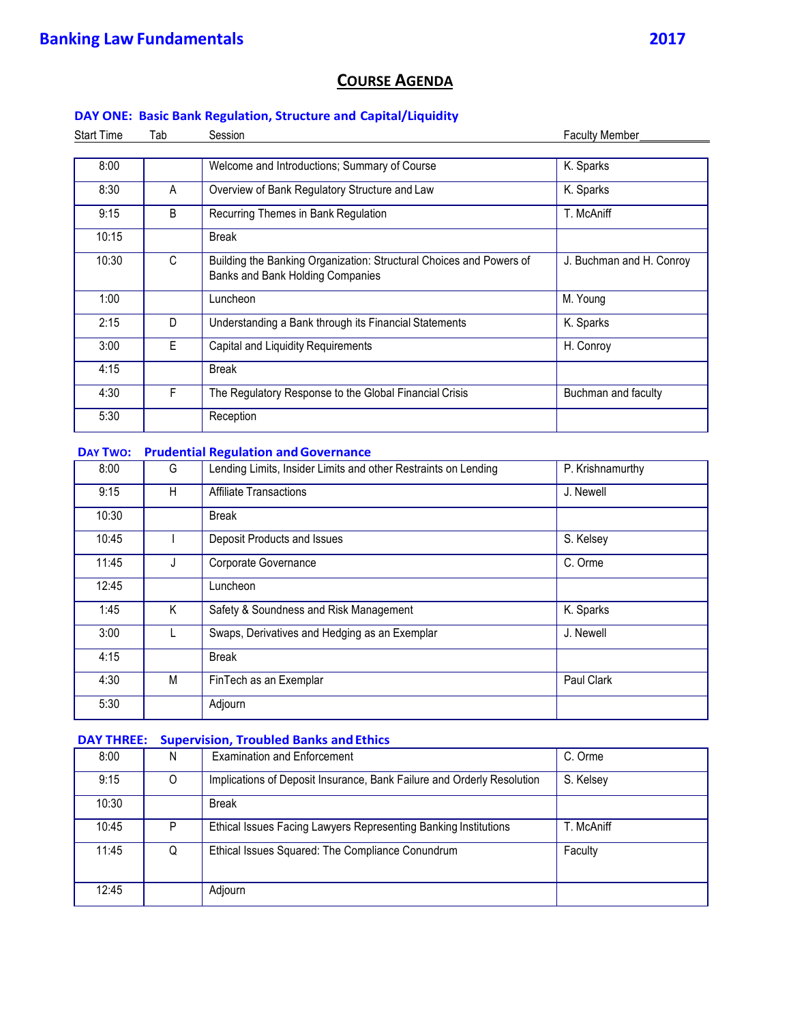## **COURSE AGENDA**

## **DAY ONE: Basic Bank Regulation, Structure and Capital/Liquidity**

| <b>Start Time</b> | Tab | Session                                                                                                 | <b>Faculty Member</b>    |
|-------------------|-----|---------------------------------------------------------------------------------------------------------|--------------------------|
|                   |     |                                                                                                         |                          |
| 8:00              |     | Welcome and Introductions; Summary of Course                                                            | K. Sparks                |
| 8:30              | A   | Overview of Bank Regulatory Structure and Law                                                           | K. Sparks                |
| 9:15              | B   | Recurring Themes in Bank Regulation                                                                     | T. McAniff               |
| 10:15             |     | <b>Break</b>                                                                                            |                          |
| 10:30             | C.  | Building the Banking Organization: Structural Choices and Powers of<br>Banks and Bank Holding Companies | J. Buchman and H. Conroy |
| 1:00              |     | Luncheon                                                                                                | M. Young                 |
| 2:15              | D.  | Understanding a Bank through its Financial Statements                                                   | K. Sparks                |
| 3:00              | E   | Capital and Liquidity Requirements                                                                      | H. Conroy                |
| 4:15              |     | <b>Break</b>                                                                                            |                          |
| 4:30              | F   | The Regulatory Response to the Global Financial Crisis                                                  | Buchman and faculty      |
| 5:30              |     | Reception                                                                                               |                          |

## **DAY TWO: Prudential Regulation andGovernance**

| 8:00  | G | Lending Limits, Insider Limits and other Restraints on Lending | P. Krishnamurthy |
|-------|---|----------------------------------------------------------------|------------------|
| 9:15  | H | <b>Affiliate Transactions</b>                                  | J. Newell        |
| 10:30 |   | <b>Break</b>                                                   |                  |
| 10:45 |   | Deposit Products and Issues                                    | S. Kelsey        |
| 11:45 | J | Corporate Governance                                           | C. Orme          |
| 12:45 |   | Luncheon                                                       |                  |
| 1:45  | K | Safety & Soundness and Risk Management                         | K. Sparks        |
| 3:00  |   | Swaps, Derivatives and Hedging as an Exemplar                  | J. Newell        |
| 4:15  |   | <b>Break</b>                                                   |                  |
| 4:30  | M | FinTech as an Exemplar                                         | Paul Clark       |
| 5:30  |   | Adjourn                                                        |                  |

## **DAY THREE:** Supervision, Troubled Banks and Ethics

| 8:00  | N        | <b>Examination and Enforcement</b>                                     | C. Orme    |
|-------|----------|------------------------------------------------------------------------|------------|
| 9:15  | $\Omega$ | Implications of Deposit Insurance, Bank Failure and Orderly Resolution | S. Kelsey  |
| 10:30 |          | <b>Break</b>                                                           |            |
| 10:45 | P        | Ethical Issues Facing Lawyers Representing Banking Institutions        | T. McAniff |
| 11:45 | Q        | Ethical Issues Squared: The Compliance Conundrum                       | Faculty    |
| 12:45 |          | Adjourn                                                                |            |